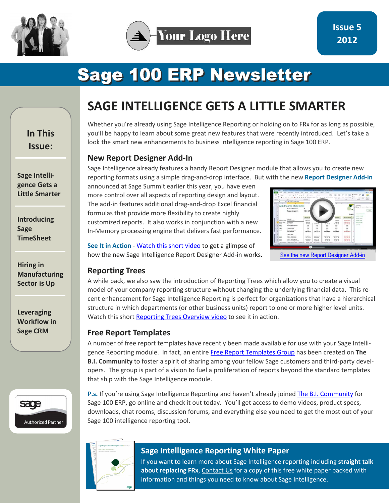

# **Sage 100 ERP Newsletter**

**In This Issue:** 

**Sage Intelligence Gets a Little Smarter** 

**Introducing Sage TimeSheet** 

**Hiring in Manufacturing Sector is Up** 

**Leveraging Workflow in Sage CRM** 



# **SAGE INTELLIGENCE GETS A LITTLE SMARTER**

Whether you're already using Sage Intelligence Reporting or holding on to FRx for as long as possible, you'll be happy to learn about some great new features that were recently introduced. Let's take a look the smart new enhancements to business intelligence reporting in Sage 100 ERP.

### **New Report Designer Add-In**

Sage Intelligence already features a handy Report Designer module that allows you to create new reporting formats using a simple drag-and-drop interface. But with the new **Report Designer Add-in**

announced at Sage Summit earlier this year, you have even more control over all aspects of reporting design and layout. The add-in features additional drag-and-drop Excel financial formulas that provide more flexibility to create highly customized reports. It also works in conjunction with a new In-Memory processing engine that delivers fast performance.



[See the new Report Designer Add-in](http://www.youtube.com/watch?v=hnXsbKBxmso&feature=youtu.be)

#### **See It in Action** - [Watch this short video t](http://www.youtube.com/watch?v=hnXsbKBxmso&feature=youtu.be)o get a glimpse of how the new Sage Intelligence Report Designer Add-in works.

#### **Reporting Trees**

A while back, we also saw the introduction of Reporting Trees which allow you to create a visual model of your company reporting structure without changing the underlying financial data. This recent enhancement for Sage Intelligence Reporting is perfect for organizations that have a hierarchical structure in which departments (or other business units) report to one or more higher level units. Watch this short [Reporting Trees Overview video t](http://community.alchemex.com/video/sage-intelligence-reporting-trees-overview)o see it in action.

### **Free Report Templates**

A number of free report templates have recently been made available for use with your Sage Intelligence Reporting module. In fact, an entire [Free Report Templates Group h](http://community.alchemex.com/group/freereporttemplates)as been created on **The B.I. Community** to foster a spirit of sharing among your fellow Sage customers and third-party developers. The group is part of a vision to fuel a proliferation of reports beyond the standard templates that ship with the Sage Intelligence module.

P.s. If you're using Sage Intelligence Reporting and haven't already joine[d The B.I. Community fo](http://community.alchemex.com/group/sage100erpintelligence)r Sage 100 ERP, go online and check it out today. You'll get access to demo videos, product specs, downloads, chat rooms, discussion forums, and everything else you need to get the most out of your Sage 100 intelligence reporting tool.



## **Sage Intelligence Reporting White Paper**

If you want to learn more about Sage Intelligence reporting including **straight talk about replacing FRx**, Contact Us for a copy of this free white paper packed with information and things you need to know about Sage Intelligence.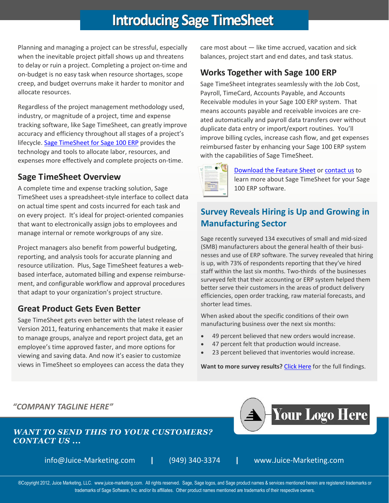# **Introducing Sage TimeSheet**

Planning and managing a project can be stressful, especially when the inevitable project pitfall shows up and threatens to delay or ruin a project. Completing a project on-time and on-budget is no easy task when resource shortages, scope creep, and budget overruns make it harder to monitor and allocate resources.

Regardless of the project management methodology used, industry, or magnitude of a project, time and expense tracking software, like Sage TimeSheet, can greatly improve accuracy and efficiency throughout all stages of a project's lifecycle. [Sage TimeSheet for Sage 100 ERP p](http://na.sage.com/~/link.aspx?_id=006B8D1C91A64A0AA8E6CC666532BE3F&_z=z)rovides the technology and tools to allocate labor, resources, and expenses more effectively and complete projects on-time.

## **Sage TimeSheet Overview**

A complete time and expense tracking solution, Sage TimeSheet uses a spreadsheet-style interface to collect data on actual time spent and costs incurred for each task and on every project. It's ideal for project-oriented companies that want to electronically assign jobs to employees and manage internal or remote workgroups of any size.

Project managers also benefit from powerful budgeting, reporting, and analysis tools for accurate planning and resource utilization. Plus, Sage TimeSheet features a webbased interface, automated billing and expense reimbursement, and configurable workflow and approval procedures that adapt to your organization's project structure.

# **Great Product Gets Even Better**

Sage TimeSheet gets even better with the latest release of Version 2011, featuring enhancements that make it easier to manage groups, analyze and report project data, get an employee's time approved faster, and more options for viewing and saving data. And now it's easier to customize views in TimeSheet so employees can access the data they care most about — like time accrued, vacation and sick balances, project start and end dates, and task status.

# **Works Together with Sage 100 ERP**

Sage TimeSheet integrates seamlessly with the Job Cost, Payroll, TimeCard, Accounts Payable, and Accounts Receivable modules in your Sage 100 ERP system. That means accounts payable and receivable invoices are created automatically and payroll data transfers over without duplicate data entry or import/export routines. You'll improve billing cycles, increase cash flow, and get expenses reimbursed faster by enhancing your Sage 100 ERP system with the capabilities of Sage TimeSheet.



[Download the Feature Sheet](http://na.sage.com/~/~/media/Category/SageSolutions/Timesheet/Assets/Documents/MAS_90_200_Timesheet.pdf) or contact us to learn more about Sage TimeSheet for your Sage 100 ERP software.

# **Survey Reveals Hiring is Up and Growing in Manufacturing Sector**

Sage recently surveyed 134 executives of small and mid-sized (SMB) manufacturers about the general health of their businesses and use of ERP software. The survey revealed that hiring is up, with 73% of respondents reporting that they've hired staff within the last six months. Two-thirds of the businesses surveyed felt that their accounting or ERP system helped them better serve their customers in the areas of product delivery efficiencies, open order tracking, raw material forecasts, and shorter lead times.

When asked about the specific conditions of their own manufacturing business over the next six months:

- 49 percent believed that new orders would increase.
- 47 percent felt that production would increase.
- 23 percent believed that inventories would increase.

Want to more survey results? [Click Here f](http://na.sage.com/Sage-NA/newsroom/Details/SNA_Corporate/2012/09/Sage_Snapshot_Survey_Manufacturers_Use_Their_Enterprise_Resource_Planning_Systems?WT.mc_id=Twitter)or the full findings.



®Copyright 2012, Juice Marketing, LLC. www.juice-marketing.com. All rights reserved. Sage, Sage logos, and Sage product names & services mentioned herein are registered trademarks or trademarks of Sage Software, Inc. and/or its affiliates. Other product names mentioned are trademarks of their respective owners.